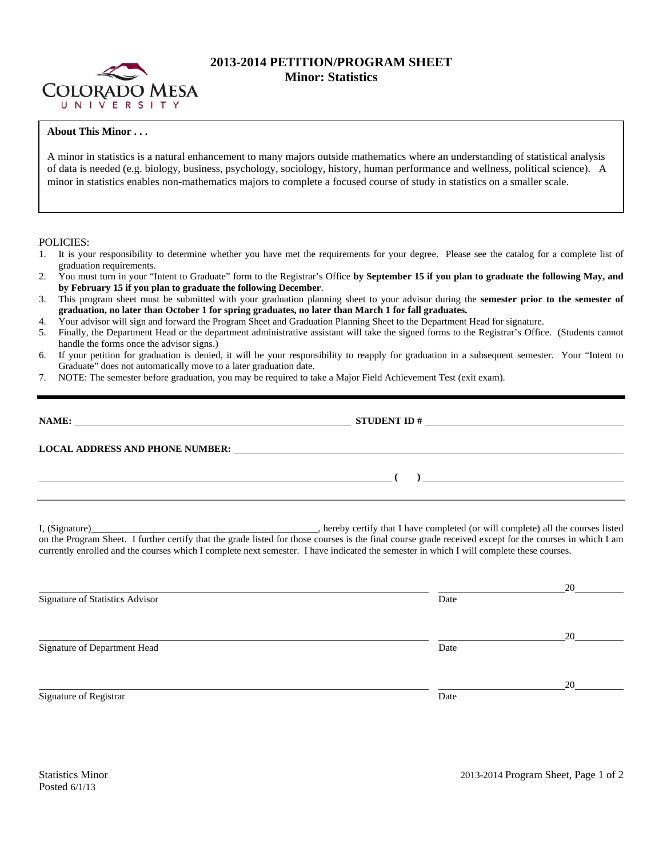

## **2013-2014 PETITION/PROGRAM SHEET Minor: Statistics**

## **About This Minor . . .**

A minor in statistics is a natural enhancement to many majors outside mathematics where an understanding of statistical analysis of data is needed (e.g. biology, business, psychology, sociology, history, human performance and wellness, political science). A minor in statistics enables non-mathematics majors to complete a focused course of study in statistics on a smaller scale.

## POLICIES:

- 1. It is your responsibility to determine whether you have met the requirements for your degree. Please see the catalog for a complete list of graduation requirements.
- 2. You must turn in your "Intent to Graduate" form to the Registrar's Office **by September 15 if you plan to graduate the following May, and by February 15 if you plan to graduate the following December**.
- 3. This program sheet must be submitted with your graduation planning sheet to your advisor during the **semester prior to the semester of graduation, no later than October 1 for spring graduates, no later than March 1 for fall graduates.**
- 4. Your advisor will sign and forward the Program Sheet and Graduation Planning Sheet to the Department Head for signature.
- 5. Finally, the Department Head or the department administrative assistant will take the signed forms to the Registrar's Office. (Students cannot handle the forms once the advisor signs.)
- 6. If your petition for graduation is denied, it will be your responsibility to reapply for graduation in a subsequent semester. Your "Intent to Graduate" does not automatically move to a later graduation date.
- 7. NOTE: The semester before graduation, you may be required to take a Major Field Achievement Test (exit exam).

| NAME:<br><u> 1989 - Johann Stein, mars an deutscher Stein († 1989)</u> |                                                                                                                 |
|------------------------------------------------------------------------|-----------------------------------------------------------------------------------------------------------------|
| <b>LOCAL ADDRESS AND PHONE NUMBER:</b>                                 | <u> 1989 - John Stein, Amerikaansk konstantinopler († 1989)</u>                                                 |
|                                                                        | the contract of the contract of the contract of the contract of the contract of the contract of the contract of |
|                                                                        |                                                                                                                 |

I, (Signature) , hereby certify that I have completed (or will complete) all the courses listed on the Program Sheet. I further certify that the grade listed for those courses is the final course grade received except for the courses in which I am currently enrolled and the courses which I complete next semester. I have indicated the semester in which I will complete these courses.

|                                 |      | 20 |
|---------------------------------|------|----|
| Signature of Statistics Advisor | Date |    |
|                                 |      |    |
|                                 |      | 20 |
| Signature of Department Head    | Date |    |
|                                 |      |    |
|                                 |      | 20 |
| Signature of Registrar          | Date |    |